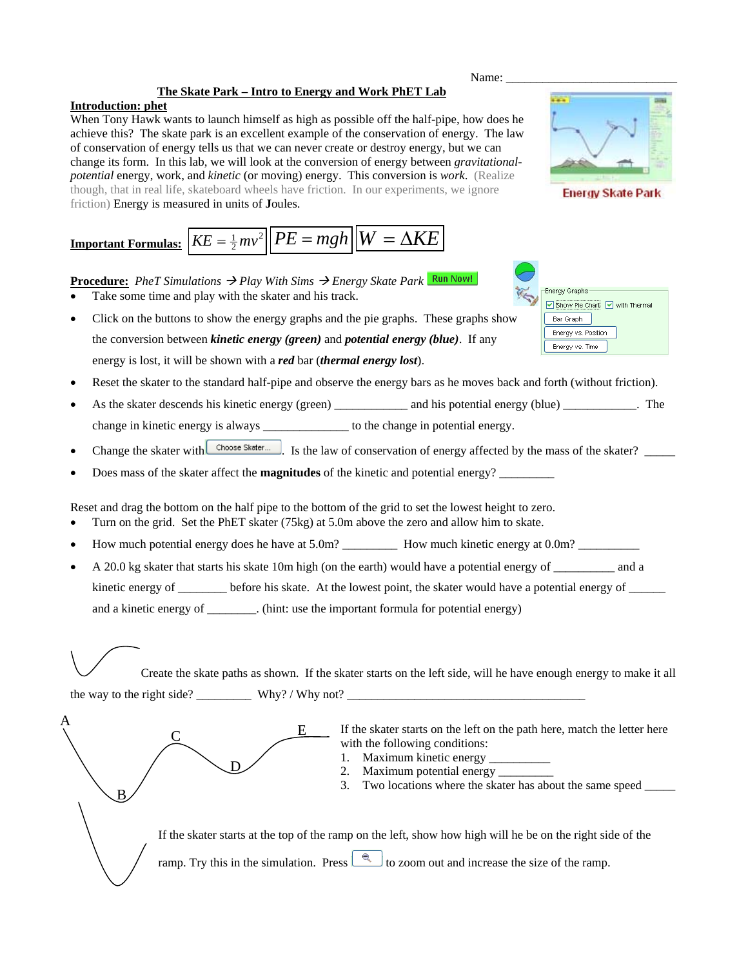## **The Skate Park – Intro to Energy and Work PhET Lab**

## **Introduction: phet**

A

B

 $\overline{\mathsf{C}}$ 

 $\overline{\mathsf{D}}$ 

When Tony Hawk wants to launch himself as high as possible off the half-pipe, how does he achieve this? The skate park is an excellent example of the conservation of energy. The law of conservation of energy tells us that we can never create or destroy energy, but we can change its form. In this lab, we will look at the conversion of energy between *gravitationalpotential* energy, work, and *kinetic* (or moving) energy. This conversion is *work*. (Realize though, that in real life, skateboard wheels have friction. In our experiments, we ignore friction) Energy is measured in units of **J**oules.

Name:

**Energy Skate Park** 

Energy Graphs

Bar Graph Energy vs. Position Energy vs. Time

Show Pie Chart V with Thermal

# **Important Formulas:**  $\overline{KE} = \frac{1}{2}mv^2$   $\overline{PE} = mgh$   $\overline{W} = \Delta KE$

**<u>Procedure:</u>** *PheT Simulations*  $\rightarrow$  *Play With Sims*  $\rightarrow$  *Energy Skate Park* Run Now!

- Take some time and play with the skater and his track.
- Click on the buttons to show the energy graphs and the pie graphs. These graphs show the conversion between *kinetic energy (green)* and *potential energy (blue)*. If any energy is lost, it will be shown with a *red* bar (*thermal energy lost*).
- Reset the skater to the standard half-pipe and observe the energy bars as he moves back and forth (without friction).
- As the skater descends his kinetic energy (green) and his potential energy (blue) The change in kinetic energy is always to the change in potential energy.
- Change the skater with  $\Box$ Choose Skater...  $\Box$ . Is the law of conservation of energy affected by the mass of the skater?
- Does mass of the skater affect the **magnitudes** of the kinetic and potential energy? \_\_\_\_\_\_\_\_\_

Reset and drag the bottom on the half pipe to the bottom of the grid to set the lowest height to zero.

• Turn on the grid. Set the PhET skater (75kg) at 5.0m above the zero and allow him to skate.

E

- How much potential energy does he have at 5.0m? \_\_\_\_\_\_\_\_\_\_\_\_ How much kinetic energy at 0.0m? \_\_\_\_\_\_\_\_\_\_\_\_\_\_\_\_
- A 20.0 kg skater that starts his skate 10m high (on the earth) would have a potential energy of \_\_\_\_\_\_\_\_\_\_ and a kinetic energy of \_\_\_\_\_\_\_ before his skate. At the lowest point, the skater would have a potential energy of \_\_\_\_\_ and a kinetic energy of \_\_\_\_\_\_\_\_. (hint: use the important formula for potential energy)

Create the skate paths as shown. If the skater starts on the left side, will he have enough energy to make it all the way to the right side? \_\_\_\_\_\_\_\_\_ Why? / Why not? \_\_\_\_\_\_\_\_\_\_\_\_\_\_\_\_\_\_\_\_\_\_\_\_\_\_\_\_\_\_\_\_\_\_\_\_\_\_\_

> If the skater starts on the left on the path here, match the letter here with the following conditions:

- 1. Maximum kinetic energy \_\_\_\_\_\_\_\_\_\_
- 2. Maximum potential energy \_\_\_\_\_\_\_\_\_
- 3. Two locations where the skater has about the same speed \_\_\_\_\_

If the skater starts at the top of the ramp on the left, show how high will he be on the right side of the ramp. Try this in the simulation. Press  $\Box$  to zoom out and increase the size of the ramp.